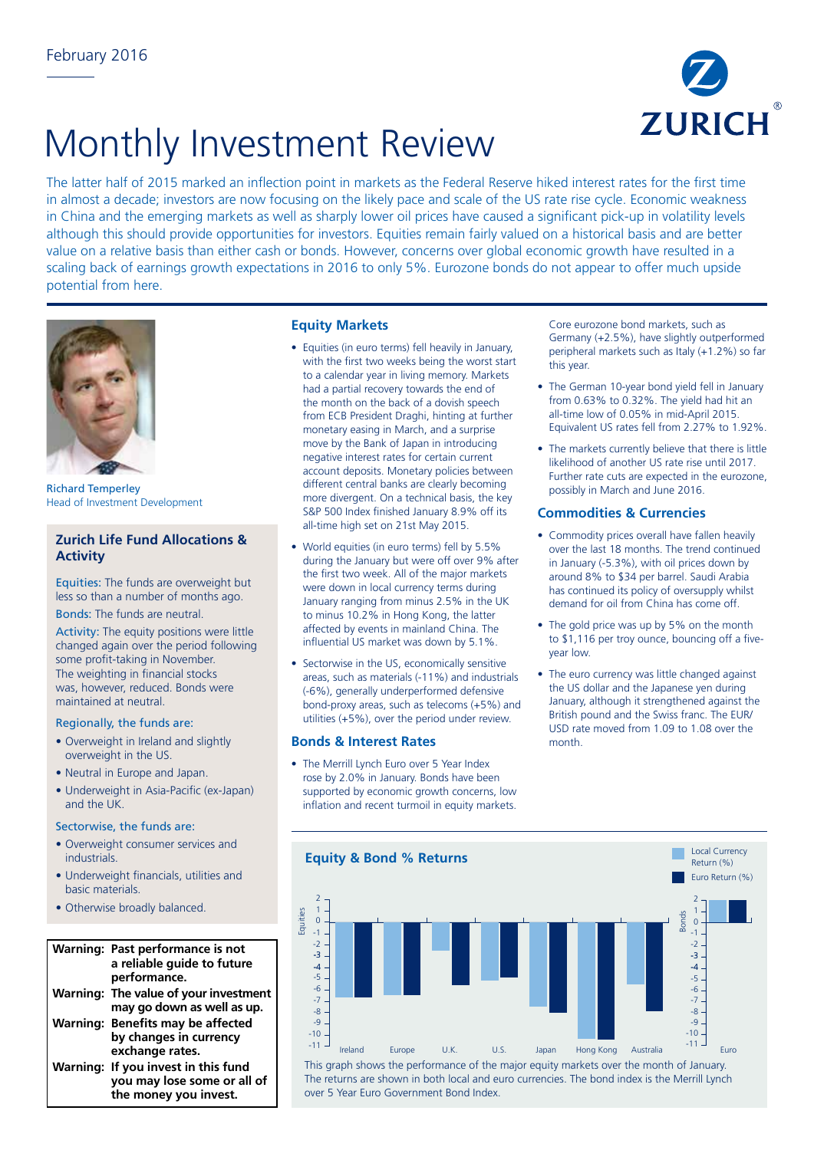

# Monthly Investment Review

The latter half of 2015 marked an inflection point in markets as the Federal Reserve hiked interest rates for the first time in almost a decade; investors are now focusing on the likely pace and scale of the US rate rise cycle. Economic weakness in China and the emerging markets as well as sharply lower oil prices have caused a significant pick-up in volatility levels although this should provide opportunities for investors. Equities remain fairly valued on a historical basis and are better value on a relative basis than either cash or bonds. However, concerns over global economic growth have resulted in a scaling back of earnings growth expectations in 2016 to only 5%. Eurozone bonds do not appear to offer much upside potential from here.



Richard Temperley Head of Investment Development

# **Zurich Life Fund Allocations & Activity**

Equities: The funds are overweight but less so than a number of months ago.

## Bonds: The funds are neutral.

Activity: The equity positions were little changed again over the period following some profit-taking in November. The weighting in financial stocks was, however, reduced. Bonds were maintained at neutral.

#### Regionally, the funds are:

- Overweight in Ireland and slightly overweight in the US. .<br>ام
- Neutral in Europe and Japan.
- Underweight in Asia-Pacific (ex-Japan) 10 and the UK.  $\overline{1}$ 115

# Sectorwise, the funds are:

- Overweight consumer services and 10 9 industrials.
- Underweight financials, utilities and 7 4 basic materials.
- Otherwise broadly balanced.  $\overline{a}$

#### **Warning: Past performance is not**  3 **a reliable guide to future**  4 **performance. Warning: The value of your investment**  -5 **may go down as well as up.**  -6 **Warning: Benefits may be affected by changes in currency exchange rates. Warning: If you invest in this fund you may lose some or all of the money you invest.** 5

# **Equity Markets**

- Equities (in euro terms) fell heavily in January, with the first two weeks being the worst start to a calendar year in living memory. Markets had a partial recovery towards the end of the month on the back of a dovish speech from ECB President Draghi, hinting at further monetary easing in March, and a surprise move by the Bank of Japan in introducing negative interest rates for certain current account deposits. Monetary policies between different central banks are clearly becoming more divergent. On a technical basis, the key S&P 500 Index finished January 8.9% off its all-time high set on 21st May 2015.
- World equities (in euro terms) fell by 5.5% during the January but were off over 9% after the first two week. All of the major markets were down in local currency terms during January ranging from minus 2.5% in the UK to minus 10.2% in Hong Kong, the latter affected by events in mainland China. The influential US market was down by 5.1%.
- Sectorwise in the US, economically sensitive areas, such as materials (-11%) and industrials (-6%), generally underperformed defensive bond-proxy areas, such as telecoms (+5%) and utilities (+5%), over the period under review.

# **Bonds & Interest Rates**

• The Merrill Lynch Euro over 5 Year Index rose by 2.0% in January. Bonds have been supported by economic growth concerns, low inflation and recent turmoil in equity markets.

Core eurozone bond markets, such as Germany (+2.5%), have slightly outperformed peripheral markets such as Italy (+1.2%) so far this year.

- The German 10-year bond yield fell in January from 0.63% to 0.32%. The yield had hit an all-time low of 0.05% in mid-April 2015. Equivalent US rates fell from 2.27% to 1.92%.
- The markets currently believe that there is little likelihood of another US rate rise until 2017. Further rate cuts are expected in the eurozone, possibly in March and June 2016.

# **Commodities & Currencies**

- Commodity prices overall have fallen heavily over the last 18 months. The trend continued in January (-5.3%), with oil prices down by around 8% to \$34 per barrel. Saudi Arabia has continued its policy of oversupply whilst demand for oil from China has come off.
- The gold price was up by 5% on the month to \$1,116 per troy ounce, bouncing off a fiveyear low.
- The euro currency was little changed against the US dollar and the Japanese yen during January, although it strengthened against the British pound and the Swiss franc. The EUR/ USD rate moved from 1.09 to 1.08 over the month.



This graph shows the performance of the major equity markets over the month of January. The returns are shown in both local and euro currencies. The bond index is the Merrill Lynch over 5 Year Euro Government Bond Index.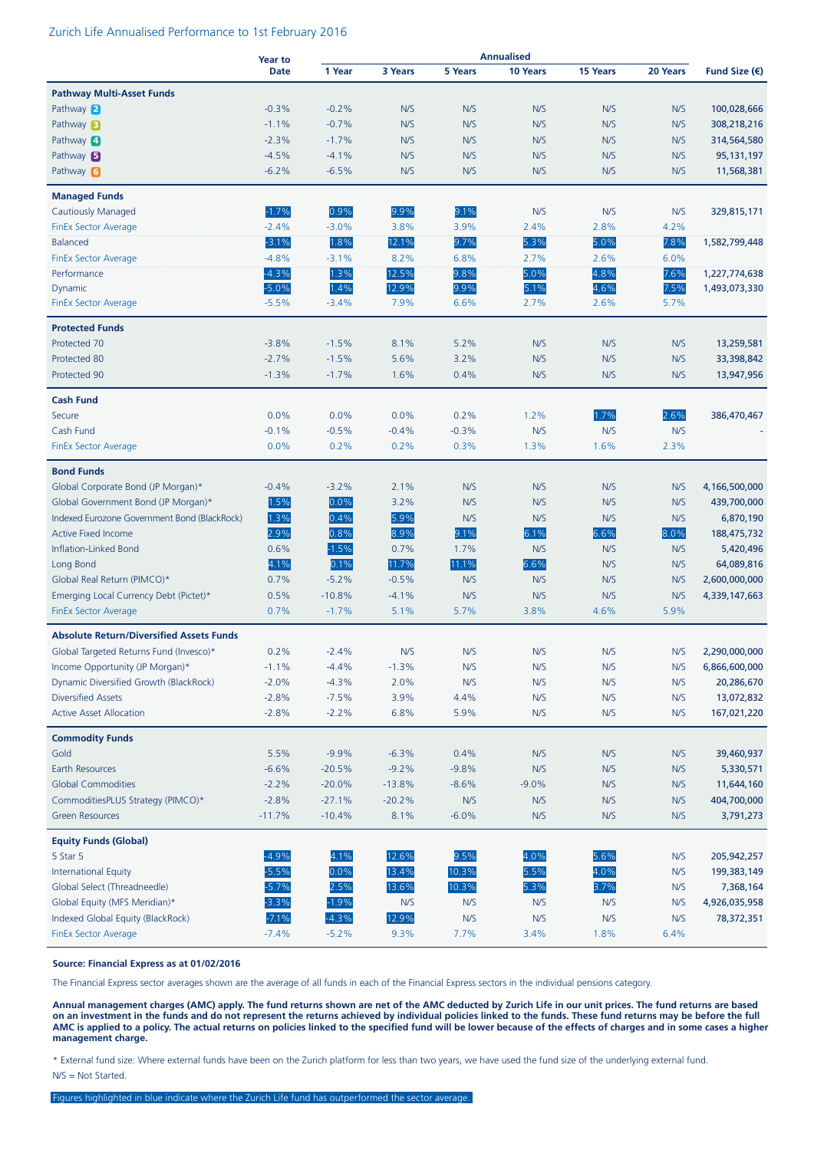#### Zurich Life Annualised Performance to 1st February 2016

|                                                 | <b>Year to</b> |          |          |         | <b>Annualised</b> |                 |          |                        |
|-------------------------------------------------|----------------|----------|----------|---------|-------------------|-----------------|----------|------------------------|
|                                                 | <b>Date</b>    | 1 Year   | 3 Years  | 5 Years | 10 Years          | <b>15 Years</b> | 20 Years | Fund Size $(\epsilon)$ |
| <b>Pathway Multi-Asset Funds</b>                |                |          |          |         |                   |                 |          |                        |
| Pathway 2                                       | $-0.3%$        | $-0.2%$  | N/S      | N/S     | N/S               | N/S             | N/S      | 100,028,666            |
| Pathway <b>B</b>                                | $-1.1%$        | $-0.7%$  | N/S      | N/S     | N/S               | N/S             | N/S      | 308,218,216            |
| Pathway 4                                       | $-2.3%$        | $-1.7%$  | N/S      | N/S     | N/S               | N/S             | N/S      | 314,564,580            |
| Pathway 5                                       | $-4.5%$        | $-4.1%$  | N/S      | N/S     | N/S               | N/S             | N/S      | 95, 131, 197           |
| Pathway 6                                       | $-6.2%$        | $-6.5%$  | N/S      | N/S     | N/S               | N/S             | N/S      | 11,568,381             |
|                                                 |                |          |          |         |                   |                 |          |                        |
| <b>Managed Funds</b>                            |                |          |          |         |                   |                 |          |                        |
| <b>Cautiously Managed</b>                       | $-1.7%$        | 0.9%     | 9.9%     | 9.1%    | N/S               | N/S             | N/S      | 329,815,171            |
| <b>FinEx Sector Average</b>                     | $-2.4%$        | $-3.0%$  | 3.8%     | 3.9%    | 2.4%              | 2.8%            | 4.2%     |                        |
| <b>Balanced</b>                                 | $-3.1%$        | 1.8%     | 12.1%    | 9.7%    | 5.3%              | 5.0%            | 7.8%     | 1,582,799,448          |
| <b>FinEx Sector Average</b>                     | $-4.8%$        | $-3.1%$  | 8.2%     | 6.8%    | 2.7%              | 2.6%            | 6.0%     |                        |
| Performance                                     | $-4.3%$        | 1.3%     | 12.5%    | 9.8%    | 5.0%              | 4.8%            | 7.6%     | 1,227,774,638          |
| Dynamic                                         | $-5.0%$        | 1.4%     | 12.9%    | 9.9%    | 5.1%              | 4.6%            | 7.5%     | 1,493,073,330          |
| <b>FinEx Sector Average</b>                     | $-5.5%$        | $-3.4%$  | 7.9%     | 6.6%    | 2.7%              | 2.6%            | 5.7%     |                        |
| <b>Protected Funds</b>                          |                |          |          |         |                   |                 |          |                        |
| Protected 70                                    | $-3.8%$        | $-1.5%$  | 8.1%     | 5.2%    | N/S               | N/S             | N/S      | 13,259,581             |
| Protected 80                                    | $-2.7%$        | $-1.5%$  | 5.6%     | 3.2%    | N/S               | N/S             | N/S      | 33,398,842             |
| Protected 90                                    | $-1.3%$        | $-1.7%$  | 1.6%     | 0.4%    | N/S               | N/S             | N/S      | 13,947,956             |
|                                                 |                |          |          |         |                   |                 |          |                        |
| <b>Cash Fund</b>                                |                |          |          |         |                   |                 |          |                        |
| Secure                                          | 0.0%           | 0.0%     | 0.0%     | 0.2%    | 1.2%              | 1.7%            | 2.6%     | 386,470,467            |
| Cash Fund                                       | $-0.1%$        | $-0.5%$  | $-0.4%$  | $-0.3%$ | N/S               | N/S             | N/S      |                        |
| <b>FinEx Sector Average</b>                     | 0.0%           | 0.2%     | 0.2%     | 0.3%    | 1.3%              | 1.6%            | 2.3%     |                        |
| <b>Bond Funds</b>                               |                |          |          |         |                   |                 |          |                        |
| Global Corporate Bond (JP Morgan)*              | $-0.4%$        | $-3.2%$  | 2.1%     | N/S     | N/S               | N/S             | N/S      | 4,166,500,000          |
| Global Government Bond (JP Morgan)*             | 1.5%           | 0.0%     | 3.2%     | N/S     | N/S               | N/S             | N/S      | 439,700,000            |
| Indexed Eurozone Government Bond (BlackRock)    | 1.3%           | 0.4%     | 5.9%     | N/S     | N/S               | N/S             | N/S      | 6,870,190              |
| <b>Active Fixed Income</b>                      | 2.9%           | 0.8%     | 8.9%     | 9.1%    | 6.1%              | 6.6%            | 8.0%     | 188,475,732            |
| Inflation-Linked Bond                           | 0.6%           | $-1.5%$  | 0.7%     | 1.7%    | N/S               | N/S             | N/S      | 5,420,496              |
| Long Bond                                       | 4.1%           | 0.1%     | 11.7%    | 11.1%   | 6.6%              | N/S             | N/S      | 64,089,816             |
| Global Real Return (PIMCO)*                     | 0.7%           | $-5.2%$  | $-0.5%$  | N/S     | N/S               | N/S             | N/S      | 2,600,000,000          |
| Emerging Local Currency Debt (Pictet)*          | 0.5%           | $-10.8%$ | $-4.1%$  | N/S     | N/S               | N/S             | N/S      | 4,339,147,663          |
| <b>FinEx Sector Average</b>                     | 0.7%           | $-1.7%$  | 5.1%     | 5.7%    | 3.8%              | 4.6%            | 5.9%     |                        |
|                                                 |                |          |          |         |                   |                 |          |                        |
| <b>Absolute Return/Diversified Assets Funds</b> |                |          |          |         |                   |                 |          |                        |
| Global Targeted Returns Fund (Invesco)*         | 0.2%           | $-2.4%$  | N/S      | N/S     | N/S               | N/S             | N/S      | 2,290,000,000          |
| Income Opportunity (JP Morgan)*                 | $-1.1%$        | $-4.4%$  | $-1.3%$  | N/S     | N/S               | N/S             | N/S      | 6,866,600,000          |
| Dynamic Diversified Growth (BlackRock)          | $-2.0%$        | $-4.3%$  | 2.0%     | N/S     | N/S               | N/S             | N/S      | 20,286,670             |
| <b>Diversified Assets</b>                       | $-2.8%$        | $-7.5%$  | 3.9%     | 4.4%    | N/S               | N/S             | N/S      | 13,072,832             |
| <b>Active Asset Allocation</b>                  | $-2.8%$        | $-2.2%$  | 6.8%     | 5.9%    | N/S               | N/S             | N/S      | 167,021,220            |
| <b>Commodity Funds</b>                          |                |          |          |         |                   |                 |          |                        |
| Gold                                            | 5.5%           | $-9.9%$  | $-6.3%$  | 0.4%    | N/S               | N/S             | N/S      | 39,460,937             |
| Earth Resources                                 | $-6.6%$        | $-20.5%$ | $-9.2%$  | $-9.8%$ | N/S               | N/S             | N/S      | 5,330,571              |
| <b>Global Commodities</b>                       | $-2.2%$        | $-20.0%$ | $-13.8%$ | $-8.6%$ | $-9.0%$           | N/S             | N/S      | 11,644,160             |
| CommoditiesPLUS Strategy (PIMCO)*               | $-2.8%$        | $-27.1%$ | $-20.2%$ | N/S     | N/S               | N/S             | N/S      | 404,700,000            |
| <b>Green Resources</b>                          | $-11.7%$       | $-10.4%$ | 8.1%     | $-6.0%$ | N/S               | N/S             | N/S      | 3,791,273              |
|                                                 |                |          |          |         |                   |                 |          |                        |
| <b>Equity Funds (Global)</b>                    |                |          |          |         |                   |                 |          |                        |
| 5 Star 5                                        | $-4.9%$        | 4.1%     | 12.6%    | 9.5%    | 4.0%              | 5.6%            | N/S      | 205,942,257            |
| <b>International Equity</b>                     | $-5.5%$        | 0.0%     | 13.4%    | 10.3%   | 5.5%              | 4.0%            | N/S      | 199, 383, 149          |
| Global Select (Threadneedle)                    | $-5.7%$        | 2.5%     | 13.6%    | 10.3%   | 5.3%              | 3.7%            | N/S      | 7,368,164              |
| Global Equity (MFS Meridian)*                   | $-3.3%$        | $-1.9%$  | N/S      | N/S     | N/S               | N/S             | N/S      | 4,926,035,958          |
| Indexed Global Equity (BlackRock)               | $-7.1%$        | $-4.3%$  | 12.9%    | N/S     | N/S               | N/S             | N/S      | 78,372,351             |
| <b>FinEx Sector Average</b>                     | $-7.4%$        | $-5.2%$  | 9.3%     | 7.7%    | 3.4%              | 1.8%            | 6.4%     |                        |

#### **Source: Financial Express as at 01/02/2016**

The Financial Express sector averages shown are the average of all funds in each of the Financial Express sectors in the individual pensions category.

**Annual management charges (AMC) apply. The fund returns shown are net of the AMC deducted by Zurich Life in our unit prices. The fund returns are based on an investment in the funds and do not represent the returns achieved by individual policies linked to the funds. These fund returns may be before the full AMC is applied to a policy. The actual returns on policies linked to the specified fund will be lower because of the effects of charges and in some cases a higher management charge.**

\* External fund size: Where external funds have been on the Zurich platform for less than two years, we have used the fund size of the underlying external fund. N/S = Not Started.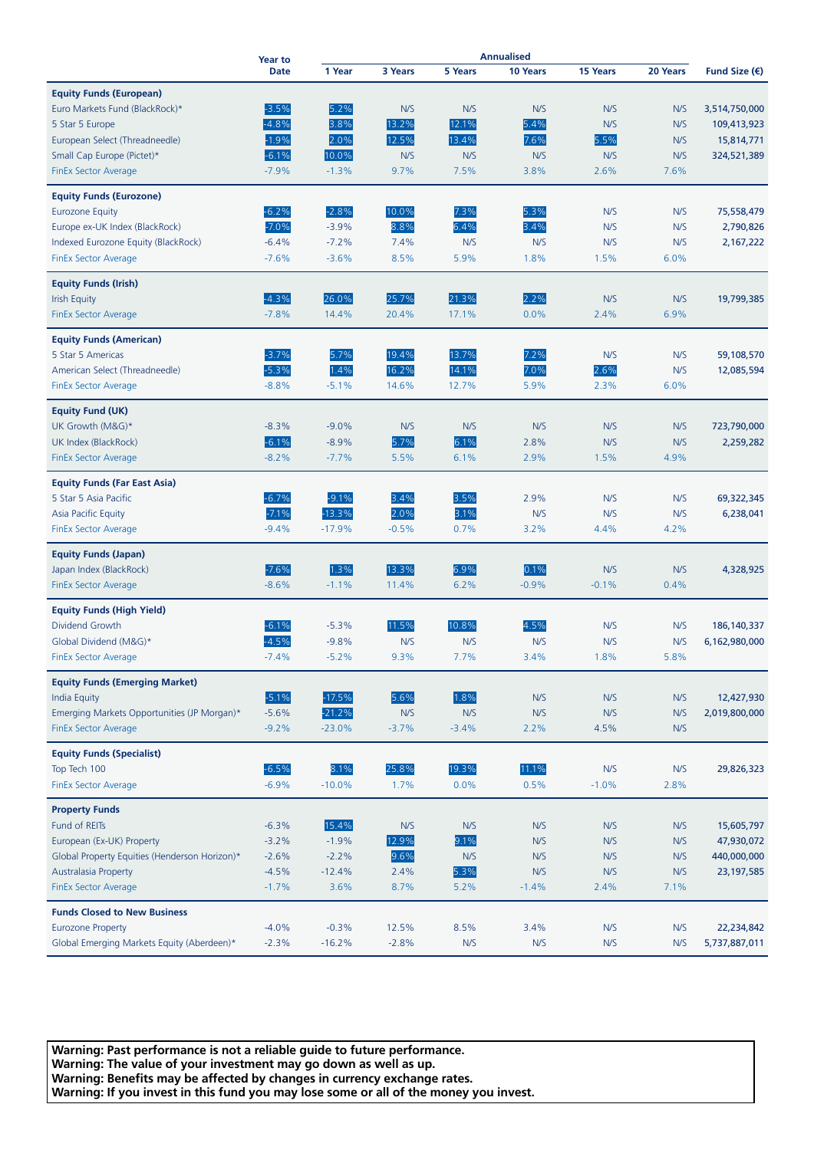| <b>Date</b><br>1 Year<br>3 Years<br><b>5 Years</b><br>10 Years<br>15 Years<br>20 Years<br>Fund Size $(\epsilon)$<br><b>Equity Funds (European)</b><br>$-3.5%$<br>5.2%<br>Euro Markets Fund (BlackRock)*<br>N/S<br>N/S<br>N/S<br>N/S<br>N/S<br>3,514,750,000<br>$-4.8%$<br>3.8%<br>13.2%<br>12.1%<br>5.4%<br>N/S<br>N/S<br>109,413,923<br>5 Star 5 Europe<br>$-1.9%$<br>2.0%<br>12.5%<br>5.5%<br>13.4%<br>7.6%<br>N/S<br>European Select (Threadneedle)<br>15,814,771<br>$-6.1%$<br>10.0%<br>N/S<br>N/S<br>Small Cap Europe (Pictet)*<br>N/S<br>N/S<br>N/S<br>324,521,389<br>$-7.9%$<br>$-1.3%$<br>9.7%<br>7.5%<br>3.8%<br>2.6%<br>7.6%<br><b>FinEx Sector Average</b><br><b>Equity Funds (Eurozone)</b><br>$-6.2%$<br>$-2.8%$<br>10.0%<br>7.3%<br><b>Eurozone Equity</b><br>5.3%<br>N/S<br>N/S<br>75,558,479<br>$-7.0%$<br>$-3.9%$<br>8.8%<br>6.4%<br>3.4%<br>Europe ex-UK Index (BlackRock)<br>N/S<br>N/S<br>2,790,826<br>$-6.4%$<br>$-7.2%$<br>7.4%<br>N/S<br>N/S<br>N/S<br>2,167,222<br>Indexed Eurozone Equity (BlackRock)<br>N/S<br><b>FinEx Sector Average</b><br>$-7.6%$<br>$-3.6%$<br>8.5%<br>5.9%<br>1.8%<br>1.5%<br>6.0%<br><b>Equity Funds (Irish)</b><br>$-4.3%$<br>26.0%<br>25.7%<br>21.3%<br>2.2%<br>N/S<br><b>Irish Equity</b><br>N/S<br>19,799,385<br>$-7.8%$<br>14.4%<br>17.1%<br>0.0%<br>2.4%<br>6.9%<br>20.4%<br>FinEx Sector Average<br><b>Equity Funds (American)</b><br>$-3.7%$<br>19.4%<br>13.7%<br>7.2%<br>5 Star 5 Americas<br>5.7%<br>N/S<br>N/S<br>59,108,570<br>1.4%<br>$-5.3%$<br>16.2%<br>14.1%<br>7.0%<br>2.6%<br>American Select (Threadneedle)<br>N/S<br>12,085,594<br>$-8.8%$<br>$-5.1%$<br>14.6%<br>12.7%<br>5.9%<br>2.3%<br>6.0%<br><b>FinEx Sector Average</b><br><b>Equity Fund (UK)</b><br>$-9.0%$<br>UK Growth (M&G)*<br>$-8.3%$<br>N/S<br>N/S<br>N/S<br>N/S<br>N/S<br>723,790,000<br>$-6.1%$<br>$-8.9%$<br>5.7%<br>6.1%<br>UK Index (BlackRock)<br>2.8%<br>N/S<br>N/S<br>2,259,282<br><b>FinEx Sector Average</b><br>$-8.2%$<br>$-7.7%$<br>5.5%<br>6.1%<br>2.9%<br>1.5%<br>4.9%<br><b>Equity Funds (Far East Asia)</b><br>$-6.7%$<br>$-9.1%$<br>3.4%<br>3.5%<br>2.9%<br>N/S<br>N/S<br>5 Star 5 Asia Pacific<br>69,322,345<br>$-7.1%$<br>$-13.3%$<br>2.0%<br>3.1%<br>Asia Pacific Equity<br>N/S<br>N/S<br>N/S<br>6,238,041<br>$-9.4%$<br>$-17.9%$<br>$-0.5%$<br>0.7%<br>4.4%<br>4.2%<br><b>FinEx Sector Average</b><br>3.2%<br><b>Equity Funds (Japan)</b><br>6.9%<br>$-7.6%$<br>1.3%<br>13.3%<br>0.1%<br>Japan Index (BlackRock)<br>N/S<br>N/S<br>4,328,925<br><b>FinEx Sector Average</b><br>$-8.6%$<br>$-1.1%$<br>11.4%<br>6.2%<br>$-0.9%$<br>$-0.1%$<br>0.4%<br><b>Equity Funds (High Yield)</b><br>$-6.1%$<br>11.5%<br>10.8%<br>4.5%<br>Dividend Growth<br>$-5.3%$<br>N/S<br>N/S<br>186, 140, 337<br>$-4.5%$<br>N/S<br>Global Dividend (M&G)*<br>$-9.8%$<br>N/S<br>N/S<br>N/S<br>N/S<br>6,162,980,000<br>7.7%<br>5.8%<br>$-7.4%$<br>$-5.2%$<br>9.3%<br>3.4%<br>1.8%<br><b>FinEx Sector Average</b><br><b>Equity Funds (Emerging Market)</b><br>$-5.1%$<br>$-17.5%$<br>1.8%<br>5.6%<br>N/S<br>N/S<br>N/S<br>12,427,930<br><b>India Equity</b><br>$-21.2%$<br>N/S<br>Emerging Markets Opportunities (JP Morgan)*<br>$-5.6%$<br>N/S<br>N/S<br>N/S<br>N/S<br>2,019,800,000<br>$-23.0%$<br>N/S<br><b>FinEx Sector Average</b><br>$-9.2%$<br>$-3.7%$<br>$-3.4%$<br>2.2%<br>4.5%<br><b>Equity Funds (Specialist)</b><br>$-6.5%$<br>8.1%<br>25.8%<br>19.3%<br>11.1%<br>Top Tech 100<br>N/S<br>N/S<br>29,826,323<br>$-10.0%$<br>0.0%<br>0.5%<br>$-1.0%$<br><b>FinEx Sector Average</b><br>$-6.9%$<br>1.7%<br>2.8%<br><b>Property Funds</b><br>15.4%<br>Fund of REITs<br>$-6.3%$<br>N/S<br>N/S<br>N/S<br>15,605,797<br>N/S<br>N/S<br>9.1%<br>European (Ex-UK) Property<br>$-3.2%$<br>$-1.9%$<br>12.9%<br>N/S<br>N/S<br>N/S<br>47,930,072<br>9.6%<br>N/S<br>$-2.2%$<br>N/S<br>N/S<br>N/S<br>440,000,000<br>Global Property Equities (Henderson Horizon)*<br>$-2.6%$<br>5.3%<br>$-4.5%$<br>2.4%<br>N/S<br>N/S<br>N/S<br>23, 197, 585<br><b>Australasia Property</b><br>$-12.4%$<br>$-1.7%$<br>3.6%<br>8.7%<br>5.2%<br><b>FinEx Sector Average</b><br>$-1.4%$<br>2.4%<br>7.1%<br><b>Funds Closed to New Business</b><br><b>Eurozone Property</b><br>$-0.3%$<br>12.5%<br>8.5%<br>$-4.0%$<br>3.4%<br>N/S<br>N/S<br>22,234,842<br>Global Emerging Markets Equity (Aberdeen)*<br>$-2.3%$<br>$-16.2%$<br>$-2.8%$<br>N/S<br>N/S<br>N/S<br>N/S<br>5,737,887,011 |  | <b>Year to</b> | <b>Annualised</b> |  |  |  |  |  |  |
|------------------------------------------------------------------------------------------------------------------------------------------------------------------------------------------------------------------------------------------------------------------------------------------------------------------------------------------------------------------------------------------------------------------------------------------------------------------------------------------------------------------------------------------------------------------------------------------------------------------------------------------------------------------------------------------------------------------------------------------------------------------------------------------------------------------------------------------------------------------------------------------------------------------------------------------------------------------------------------------------------------------------------------------------------------------------------------------------------------------------------------------------------------------------------------------------------------------------------------------------------------------------------------------------------------------------------------------------------------------------------------------------------------------------------------------------------------------------------------------------------------------------------------------------------------------------------------------------------------------------------------------------------------------------------------------------------------------------------------------------------------------------------------------------------------------------------------------------------------------------------------------------------------------------------------------------------------------------------------------------------------------------------------------------------------------------------------------------------------------------------------------------------------------------------------------------------------------------------------------------------------------------------------------------------------------------------------------------------------------------------------------------------------------------------------------------------------------------------------------------------------------------------------------------------------------------------------------------------------------------------------------------------------------------------------------------------------------------------------------------------------------------------------------------------------------------------------------------------------------------------------------------------------------------------------------------------------------------------------------------------------------------------------------------------------------------------------------------------------------------------------------------------------------------------------------------------------------------------------------------------------------------------------------------------------------------------------------------------------------------------------------------------------------------------------------------------------------------------------------------------------------------------------------------------------------------------------------------------------------------------------------------------------------------------------------------------------------------------------------------------------------------------------------------------------------------------------------------------------------------------------------------------------------------------------------------------------------------------------------------------------------------------------------------------------------------------------------------------------------------------------------------------------------------------------------------------------------------------------------------------------------------------------------------------------------------------------------------------------------------------------------|--|----------------|-------------------|--|--|--|--|--|--|
|                                                                                                                                                                                                                                                                                                                                                                                                                                                                                                                                                                                                                                                                                                                                                                                                                                                                                                                                                                                                                                                                                                                                                                                                                                                                                                                                                                                                                                                                                                                                                                                                                                                                                                                                                                                                                                                                                                                                                                                                                                                                                                                                                                                                                                                                                                                                                                                                                                                                                                                                                                                                                                                                                                                                                                                                                                                                                                                                                                                                                                                                                                                                                                                                                                                                                                                                                                                                                                                                                                                                                                                                                                                                                                                                                                                                                                                                                                                                                                                                                                                                                                                                                                                                                                                                                                                                                                                          |  |                |                   |  |  |  |  |  |  |
|                                                                                                                                                                                                                                                                                                                                                                                                                                                                                                                                                                                                                                                                                                                                                                                                                                                                                                                                                                                                                                                                                                                                                                                                                                                                                                                                                                                                                                                                                                                                                                                                                                                                                                                                                                                                                                                                                                                                                                                                                                                                                                                                                                                                                                                                                                                                                                                                                                                                                                                                                                                                                                                                                                                                                                                                                                                                                                                                                                                                                                                                                                                                                                                                                                                                                                                                                                                                                                                                                                                                                                                                                                                                                                                                                                                                                                                                                                                                                                                                                                                                                                                                                                                                                                                                                                                                                                                          |  |                |                   |  |  |  |  |  |  |
|                                                                                                                                                                                                                                                                                                                                                                                                                                                                                                                                                                                                                                                                                                                                                                                                                                                                                                                                                                                                                                                                                                                                                                                                                                                                                                                                                                                                                                                                                                                                                                                                                                                                                                                                                                                                                                                                                                                                                                                                                                                                                                                                                                                                                                                                                                                                                                                                                                                                                                                                                                                                                                                                                                                                                                                                                                                                                                                                                                                                                                                                                                                                                                                                                                                                                                                                                                                                                                                                                                                                                                                                                                                                                                                                                                                                                                                                                                                                                                                                                                                                                                                                                                                                                                                                                                                                                                                          |  |                |                   |  |  |  |  |  |  |
|                                                                                                                                                                                                                                                                                                                                                                                                                                                                                                                                                                                                                                                                                                                                                                                                                                                                                                                                                                                                                                                                                                                                                                                                                                                                                                                                                                                                                                                                                                                                                                                                                                                                                                                                                                                                                                                                                                                                                                                                                                                                                                                                                                                                                                                                                                                                                                                                                                                                                                                                                                                                                                                                                                                                                                                                                                                                                                                                                                                                                                                                                                                                                                                                                                                                                                                                                                                                                                                                                                                                                                                                                                                                                                                                                                                                                                                                                                                                                                                                                                                                                                                                                                                                                                                                                                                                                                                          |  |                |                   |  |  |  |  |  |  |
|                                                                                                                                                                                                                                                                                                                                                                                                                                                                                                                                                                                                                                                                                                                                                                                                                                                                                                                                                                                                                                                                                                                                                                                                                                                                                                                                                                                                                                                                                                                                                                                                                                                                                                                                                                                                                                                                                                                                                                                                                                                                                                                                                                                                                                                                                                                                                                                                                                                                                                                                                                                                                                                                                                                                                                                                                                                                                                                                                                                                                                                                                                                                                                                                                                                                                                                                                                                                                                                                                                                                                                                                                                                                                                                                                                                                                                                                                                                                                                                                                                                                                                                                                                                                                                                                                                                                                                                          |  |                |                   |  |  |  |  |  |  |
|                                                                                                                                                                                                                                                                                                                                                                                                                                                                                                                                                                                                                                                                                                                                                                                                                                                                                                                                                                                                                                                                                                                                                                                                                                                                                                                                                                                                                                                                                                                                                                                                                                                                                                                                                                                                                                                                                                                                                                                                                                                                                                                                                                                                                                                                                                                                                                                                                                                                                                                                                                                                                                                                                                                                                                                                                                                                                                                                                                                                                                                                                                                                                                                                                                                                                                                                                                                                                                                                                                                                                                                                                                                                                                                                                                                                                                                                                                                                                                                                                                                                                                                                                                                                                                                                                                                                                                                          |  |                |                   |  |  |  |  |  |  |
|                                                                                                                                                                                                                                                                                                                                                                                                                                                                                                                                                                                                                                                                                                                                                                                                                                                                                                                                                                                                                                                                                                                                                                                                                                                                                                                                                                                                                                                                                                                                                                                                                                                                                                                                                                                                                                                                                                                                                                                                                                                                                                                                                                                                                                                                                                                                                                                                                                                                                                                                                                                                                                                                                                                                                                                                                                                                                                                                                                                                                                                                                                                                                                                                                                                                                                                                                                                                                                                                                                                                                                                                                                                                                                                                                                                                                                                                                                                                                                                                                                                                                                                                                                                                                                                                                                                                                                                          |  |                |                   |  |  |  |  |  |  |
|                                                                                                                                                                                                                                                                                                                                                                                                                                                                                                                                                                                                                                                                                                                                                                                                                                                                                                                                                                                                                                                                                                                                                                                                                                                                                                                                                                                                                                                                                                                                                                                                                                                                                                                                                                                                                                                                                                                                                                                                                                                                                                                                                                                                                                                                                                                                                                                                                                                                                                                                                                                                                                                                                                                                                                                                                                                                                                                                                                                                                                                                                                                                                                                                                                                                                                                                                                                                                                                                                                                                                                                                                                                                                                                                                                                                                                                                                                                                                                                                                                                                                                                                                                                                                                                                                                                                                                                          |  |                |                   |  |  |  |  |  |  |
|                                                                                                                                                                                                                                                                                                                                                                                                                                                                                                                                                                                                                                                                                                                                                                                                                                                                                                                                                                                                                                                                                                                                                                                                                                                                                                                                                                                                                                                                                                                                                                                                                                                                                                                                                                                                                                                                                                                                                                                                                                                                                                                                                                                                                                                                                                                                                                                                                                                                                                                                                                                                                                                                                                                                                                                                                                                                                                                                                                                                                                                                                                                                                                                                                                                                                                                                                                                                                                                                                                                                                                                                                                                                                                                                                                                                                                                                                                                                                                                                                                                                                                                                                                                                                                                                                                                                                                                          |  |                |                   |  |  |  |  |  |  |
|                                                                                                                                                                                                                                                                                                                                                                                                                                                                                                                                                                                                                                                                                                                                                                                                                                                                                                                                                                                                                                                                                                                                                                                                                                                                                                                                                                                                                                                                                                                                                                                                                                                                                                                                                                                                                                                                                                                                                                                                                                                                                                                                                                                                                                                                                                                                                                                                                                                                                                                                                                                                                                                                                                                                                                                                                                                                                                                                                                                                                                                                                                                                                                                                                                                                                                                                                                                                                                                                                                                                                                                                                                                                                                                                                                                                                                                                                                                                                                                                                                                                                                                                                                                                                                                                                                                                                                                          |  |                |                   |  |  |  |  |  |  |
|                                                                                                                                                                                                                                                                                                                                                                                                                                                                                                                                                                                                                                                                                                                                                                                                                                                                                                                                                                                                                                                                                                                                                                                                                                                                                                                                                                                                                                                                                                                                                                                                                                                                                                                                                                                                                                                                                                                                                                                                                                                                                                                                                                                                                                                                                                                                                                                                                                                                                                                                                                                                                                                                                                                                                                                                                                                                                                                                                                                                                                                                                                                                                                                                                                                                                                                                                                                                                                                                                                                                                                                                                                                                                                                                                                                                                                                                                                                                                                                                                                                                                                                                                                                                                                                                                                                                                                                          |  |                |                   |  |  |  |  |  |  |
|                                                                                                                                                                                                                                                                                                                                                                                                                                                                                                                                                                                                                                                                                                                                                                                                                                                                                                                                                                                                                                                                                                                                                                                                                                                                                                                                                                                                                                                                                                                                                                                                                                                                                                                                                                                                                                                                                                                                                                                                                                                                                                                                                                                                                                                                                                                                                                                                                                                                                                                                                                                                                                                                                                                                                                                                                                                                                                                                                                                                                                                                                                                                                                                                                                                                                                                                                                                                                                                                                                                                                                                                                                                                                                                                                                                                                                                                                                                                                                                                                                                                                                                                                                                                                                                                                                                                                                                          |  |                |                   |  |  |  |  |  |  |
|                                                                                                                                                                                                                                                                                                                                                                                                                                                                                                                                                                                                                                                                                                                                                                                                                                                                                                                                                                                                                                                                                                                                                                                                                                                                                                                                                                                                                                                                                                                                                                                                                                                                                                                                                                                                                                                                                                                                                                                                                                                                                                                                                                                                                                                                                                                                                                                                                                                                                                                                                                                                                                                                                                                                                                                                                                                                                                                                                                                                                                                                                                                                                                                                                                                                                                                                                                                                                                                                                                                                                                                                                                                                                                                                                                                                                                                                                                                                                                                                                                                                                                                                                                                                                                                                                                                                                                                          |  |                |                   |  |  |  |  |  |  |
|                                                                                                                                                                                                                                                                                                                                                                                                                                                                                                                                                                                                                                                                                                                                                                                                                                                                                                                                                                                                                                                                                                                                                                                                                                                                                                                                                                                                                                                                                                                                                                                                                                                                                                                                                                                                                                                                                                                                                                                                                                                                                                                                                                                                                                                                                                                                                                                                                                                                                                                                                                                                                                                                                                                                                                                                                                                                                                                                                                                                                                                                                                                                                                                                                                                                                                                                                                                                                                                                                                                                                                                                                                                                                                                                                                                                                                                                                                                                                                                                                                                                                                                                                                                                                                                                                                                                                                                          |  |                |                   |  |  |  |  |  |  |
|                                                                                                                                                                                                                                                                                                                                                                                                                                                                                                                                                                                                                                                                                                                                                                                                                                                                                                                                                                                                                                                                                                                                                                                                                                                                                                                                                                                                                                                                                                                                                                                                                                                                                                                                                                                                                                                                                                                                                                                                                                                                                                                                                                                                                                                                                                                                                                                                                                                                                                                                                                                                                                                                                                                                                                                                                                                                                                                                                                                                                                                                                                                                                                                                                                                                                                                                                                                                                                                                                                                                                                                                                                                                                                                                                                                                                                                                                                                                                                                                                                                                                                                                                                                                                                                                                                                                                                                          |  |                |                   |  |  |  |  |  |  |
|                                                                                                                                                                                                                                                                                                                                                                                                                                                                                                                                                                                                                                                                                                                                                                                                                                                                                                                                                                                                                                                                                                                                                                                                                                                                                                                                                                                                                                                                                                                                                                                                                                                                                                                                                                                                                                                                                                                                                                                                                                                                                                                                                                                                                                                                                                                                                                                                                                                                                                                                                                                                                                                                                                                                                                                                                                                                                                                                                                                                                                                                                                                                                                                                                                                                                                                                                                                                                                                                                                                                                                                                                                                                                                                                                                                                                                                                                                                                                                                                                                                                                                                                                                                                                                                                                                                                                                                          |  |                |                   |  |  |  |  |  |  |
|                                                                                                                                                                                                                                                                                                                                                                                                                                                                                                                                                                                                                                                                                                                                                                                                                                                                                                                                                                                                                                                                                                                                                                                                                                                                                                                                                                                                                                                                                                                                                                                                                                                                                                                                                                                                                                                                                                                                                                                                                                                                                                                                                                                                                                                                                                                                                                                                                                                                                                                                                                                                                                                                                                                                                                                                                                                                                                                                                                                                                                                                                                                                                                                                                                                                                                                                                                                                                                                                                                                                                                                                                                                                                                                                                                                                                                                                                                                                                                                                                                                                                                                                                                                                                                                                                                                                                                                          |  |                |                   |  |  |  |  |  |  |
|                                                                                                                                                                                                                                                                                                                                                                                                                                                                                                                                                                                                                                                                                                                                                                                                                                                                                                                                                                                                                                                                                                                                                                                                                                                                                                                                                                                                                                                                                                                                                                                                                                                                                                                                                                                                                                                                                                                                                                                                                                                                                                                                                                                                                                                                                                                                                                                                                                                                                                                                                                                                                                                                                                                                                                                                                                                                                                                                                                                                                                                                                                                                                                                                                                                                                                                                                                                                                                                                                                                                                                                                                                                                                                                                                                                                                                                                                                                                                                                                                                                                                                                                                                                                                                                                                                                                                                                          |  |                |                   |  |  |  |  |  |  |
|                                                                                                                                                                                                                                                                                                                                                                                                                                                                                                                                                                                                                                                                                                                                                                                                                                                                                                                                                                                                                                                                                                                                                                                                                                                                                                                                                                                                                                                                                                                                                                                                                                                                                                                                                                                                                                                                                                                                                                                                                                                                                                                                                                                                                                                                                                                                                                                                                                                                                                                                                                                                                                                                                                                                                                                                                                                                                                                                                                                                                                                                                                                                                                                                                                                                                                                                                                                                                                                                                                                                                                                                                                                                                                                                                                                                                                                                                                                                                                                                                                                                                                                                                                                                                                                                                                                                                                                          |  |                |                   |  |  |  |  |  |  |
|                                                                                                                                                                                                                                                                                                                                                                                                                                                                                                                                                                                                                                                                                                                                                                                                                                                                                                                                                                                                                                                                                                                                                                                                                                                                                                                                                                                                                                                                                                                                                                                                                                                                                                                                                                                                                                                                                                                                                                                                                                                                                                                                                                                                                                                                                                                                                                                                                                                                                                                                                                                                                                                                                                                                                                                                                                                                                                                                                                                                                                                                                                                                                                                                                                                                                                                                                                                                                                                                                                                                                                                                                                                                                                                                                                                                                                                                                                                                                                                                                                                                                                                                                                                                                                                                                                                                                                                          |  |                |                   |  |  |  |  |  |  |
|                                                                                                                                                                                                                                                                                                                                                                                                                                                                                                                                                                                                                                                                                                                                                                                                                                                                                                                                                                                                                                                                                                                                                                                                                                                                                                                                                                                                                                                                                                                                                                                                                                                                                                                                                                                                                                                                                                                                                                                                                                                                                                                                                                                                                                                                                                                                                                                                                                                                                                                                                                                                                                                                                                                                                                                                                                                                                                                                                                                                                                                                                                                                                                                                                                                                                                                                                                                                                                                                                                                                                                                                                                                                                                                                                                                                                                                                                                                                                                                                                                                                                                                                                                                                                                                                                                                                                                                          |  |                |                   |  |  |  |  |  |  |
|                                                                                                                                                                                                                                                                                                                                                                                                                                                                                                                                                                                                                                                                                                                                                                                                                                                                                                                                                                                                                                                                                                                                                                                                                                                                                                                                                                                                                                                                                                                                                                                                                                                                                                                                                                                                                                                                                                                                                                                                                                                                                                                                                                                                                                                                                                                                                                                                                                                                                                                                                                                                                                                                                                                                                                                                                                                                                                                                                                                                                                                                                                                                                                                                                                                                                                                                                                                                                                                                                                                                                                                                                                                                                                                                                                                                                                                                                                                                                                                                                                                                                                                                                                                                                                                                                                                                                                                          |  |                |                   |  |  |  |  |  |  |
|                                                                                                                                                                                                                                                                                                                                                                                                                                                                                                                                                                                                                                                                                                                                                                                                                                                                                                                                                                                                                                                                                                                                                                                                                                                                                                                                                                                                                                                                                                                                                                                                                                                                                                                                                                                                                                                                                                                                                                                                                                                                                                                                                                                                                                                                                                                                                                                                                                                                                                                                                                                                                                                                                                                                                                                                                                                                                                                                                                                                                                                                                                                                                                                                                                                                                                                                                                                                                                                                                                                                                                                                                                                                                                                                                                                                                                                                                                                                                                                                                                                                                                                                                                                                                                                                                                                                                                                          |  |                |                   |  |  |  |  |  |  |
|                                                                                                                                                                                                                                                                                                                                                                                                                                                                                                                                                                                                                                                                                                                                                                                                                                                                                                                                                                                                                                                                                                                                                                                                                                                                                                                                                                                                                                                                                                                                                                                                                                                                                                                                                                                                                                                                                                                                                                                                                                                                                                                                                                                                                                                                                                                                                                                                                                                                                                                                                                                                                                                                                                                                                                                                                                                                                                                                                                                                                                                                                                                                                                                                                                                                                                                                                                                                                                                                                                                                                                                                                                                                                                                                                                                                                                                                                                                                                                                                                                                                                                                                                                                                                                                                                                                                                                                          |  |                |                   |  |  |  |  |  |  |
|                                                                                                                                                                                                                                                                                                                                                                                                                                                                                                                                                                                                                                                                                                                                                                                                                                                                                                                                                                                                                                                                                                                                                                                                                                                                                                                                                                                                                                                                                                                                                                                                                                                                                                                                                                                                                                                                                                                                                                                                                                                                                                                                                                                                                                                                                                                                                                                                                                                                                                                                                                                                                                                                                                                                                                                                                                                                                                                                                                                                                                                                                                                                                                                                                                                                                                                                                                                                                                                                                                                                                                                                                                                                                                                                                                                                                                                                                                                                                                                                                                                                                                                                                                                                                                                                                                                                                                                          |  |                |                   |  |  |  |  |  |  |
|                                                                                                                                                                                                                                                                                                                                                                                                                                                                                                                                                                                                                                                                                                                                                                                                                                                                                                                                                                                                                                                                                                                                                                                                                                                                                                                                                                                                                                                                                                                                                                                                                                                                                                                                                                                                                                                                                                                                                                                                                                                                                                                                                                                                                                                                                                                                                                                                                                                                                                                                                                                                                                                                                                                                                                                                                                                                                                                                                                                                                                                                                                                                                                                                                                                                                                                                                                                                                                                                                                                                                                                                                                                                                                                                                                                                                                                                                                                                                                                                                                                                                                                                                                                                                                                                                                                                                                                          |  |                |                   |  |  |  |  |  |  |
|                                                                                                                                                                                                                                                                                                                                                                                                                                                                                                                                                                                                                                                                                                                                                                                                                                                                                                                                                                                                                                                                                                                                                                                                                                                                                                                                                                                                                                                                                                                                                                                                                                                                                                                                                                                                                                                                                                                                                                                                                                                                                                                                                                                                                                                                                                                                                                                                                                                                                                                                                                                                                                                                                                                                                                                                                                                                                                                                                                                                                                                                                                                                                                                                                                                                                                                                                                                                                                                                                                                                                                                                                                                                                                                                                                                                                                                                                                                                                                                                                                                                                                                                                                                                                                                                                                                                                                                          |  |                |                   |  |  |  |  |  |  |
|                                                                                                                                                                                                                                                                                                                                                                                                                                                                                                                                                                                                                                                                                                                                                                                                                                                                                                                                                                                                                                                                                                                                                                                                                                                                                                                                                                                                                                                                                                                                                                                                                                                                                                                                                                                                                                                                                                                                                                                                                                                                                                                                                                                                                                                                                                                                                                                                                                                                                                                                                                                                                                                                                                                                                                                                                                                                                                                                                                                                                                                                                                                                                                                                                                                                                                                                                                                                                                                                                                                                                                                                                                                                                                                                                                                                                                                                                                                                                                                                                                                                                                                                                                                                                                                                                                                                                                                          |  |                |                   |  |  |  |  |  |  |
|                                                                                                                                                                                                                                                                                                                                                                                                                                                                                                                                                                                                                                                                                                                                                                                                                                                                                                                                                                                                                                                                                                                                                                                                                                                                                                                                                                                                                                                                                                                                                                                                                                                                                                                                                                                                                                                                                                                                                                                                                                                                                                                                                                                                                                                                                                                                                                                                                                                                                                                                                                                                                                                                                                                                                                                                                                                                                                                                                                                                                                                                                                                                                                                                                                                                                                                                                                                                                                                                                                                                                                                                                                                                                                                                                                                                                                                                                                                                                                                                                                                                                                                                                                                                                                                                                                                                                                                          |  |                |                   |  |  |  |  |  |  |
|                                                                                                                                                                                                                                                                                                                                                                                                                                                                                                                                                                                                                                                                                                                                                                                                                                                                                                                                                                                                                                                                                                                                                                                                                                                                                                                                                                                                                                                                                                                                                                                                                                                                                                                                                                                                                                                                                                                                                                                                                                                                                                                                                                                                                                                                                                                                                                                                                                                                                                                                                                                                                                                                                                                                                                                                                                                                                                                                                                                                                                                                                                                                                                                                                                                                                                                                                                                                                                                                                                                                                                                                                                                                                                                                                                                                                                                                                                                                                                                                                                                                                                                                                                                                                                                                                                                                                                                          |  |                |                   |  |  |  |  |  |  |
|                                                                                                                                                                                                                                                                                                                                                                                                                                                                                                                                                                                                                                                                                                                                                                                                                                                                                                                                                                                                                                                                                                                                                                                                                                                                                                                                                                                                                                                                                                                                                                                                                                                                                                                                                                                                                                                                                                                                                                                                                                                                                                                                                                                                                                                                                                                                                                                                                                                                                                                                                                                                                                                                                                                                                                                                                                                                                                                                                                                                                                                                                                                                                                                                                                                                                                                                                                                                                                                                                                                                                                                                                                                                                                                                                                                                                                                                                                                                                                                                                                                                                                                                                                                                                                                                                                                                                                                          |  |                |                   |  |  |  |  |  |  |
|                                                                                                                                                                                                                                                                                                                                                                                                                                                                                                                                                                                                                                                                                                                                                                                                                                                                                                                                                                                                                                                                                                                                                                                                                                                                                                                                                                                                                                                                                                                                                                                                                                                                                                                                                                                                                                                                                                                                                                                                                                                                                                                                                                                                                                                                                                                                                                                                                                                                                                                                                                                                                                                                                                                                                                                                                                                                                                                                                                                                                                                                                                                                                                                                                                                                                                                                                                                                                                                                                                                                                                                                                                                                                                                                                                                                                                                                                                                                                                                                                                                                                                                                                                                                                                                                                                                                                                                          |  |                |                   |  |  |  |  |  |  |
|                                                                                                                                                                                                                                                                                                                                                                                                                                                                                                                                                                                                                                                                                                                                                                                                                                                                                                                                                                                                                                                                                                                                                                                                                                                                                                                                                                                                                                                                                                                                                                                                                                                                                                                                                                                                                                                                                                                                                                                                                                                                                                                                                                                                                                                                                                                                                                                                                                                                                                                                                                                                                                                                                                                                                                                                                                                                                                                                                                                                                                                                                                                                                                                                                                                                                                                                                                                                                                                                                                                                                                                                                                                                                                                                                                                                                                                                                                                                                                                                                                                                                                                                                                                                                                                                                                                                                                                          |  |                |                   |  |  |  |  |  |  |
|                                                                                                                                                                                                                                                                                                                                                                                                                                                                                                                                                                                                                                                                                                                                                                                                                                                                                                                                                                                                                                                                                                                                                                                                                                                                                                                                                                                                                                                                                                                                                                                                                                                                                                                                                                                                                                                                                                                                                                                                                                                                                                                                                                                                                                                                                                                                                                                                                                                                                                                                                                                                                                                                                                                                                                                                                                                                                                                                                                                                                                                                                                                                                                                                                                                                                                                                                                                                                                                                                                                                                                                                                                                                                                                                                                                                                                                                                                                                                                                                                                                                                                                                                                                                                                                                                                                                                                                          |  |                |                   |  |  |  |  |  |  |
|                                                                                                                                                                                                                                                                                                                                                                                                                                                                                                                                                                                                                                                                                                                                                                                                                                                                                                                                                                                                                                                                                                                                                                                                                                                                                                                                                                                                                                                                                                                                                                                                                                                                                                                                                                                                                                                                                                                                                                                                                                                                                                                                                                                                                                                                                                                                                                                                                                                                                                                                                                                                                                                                                                                                                                                                                                                                                                                                                                                                                                                                                                                                                                                                                                                                                                                                                                                                                                                                                                                                                                                                                                                                                                                                                                                                                                                                                                                                                                                                                                                                                                                                                                                                                                                                                                                                                                                          |  |                |                   |  |  |  |  |  |  |
|                                                                                                                                                                                                                                                                                                                                                                                                                                                                                                                                                                                                                                                                                                                                                                                                                                                                                                                                                                                                                                                                                                                                                                                                                                                                                                                                                                                                                                                                                                                                                                                                                                                                                                                                                                                                                                                                                                                                                                                                                                                                                                                                                                                                                                                                                                                                                                                                                                                                                                                                                                                                                                                                                                                                                                                                                                                                                                                                                                                                                                                                                                                                                                                                                                                                                                                                                                                                                                                                                                                                                                                                                                                                                                                                                                                                                                                                                                                                                                                                                                                                                                                                                                                                                                                                                                                                                                                          |  |                |                   |  |  |  |  |  |  |
|                                                                                                                                                                                                                                                                                                                                                                                                                                                                                                                                                                                                                                                                                                                                                                                                                                                                                                                                                                                                                                                                                                                                                                                                                                                                                                                                                                                                                                                                                                                                                                                                                                                                                                                                                                                                                                                                                                                                                                                                                                                                                                                                                                                                                                                                                                                                                                                                                                                                                                                                                                                                                                                                                                                                                                                                                                                                                                                                                                                                                                                                                                                                                                                                                                                                                                                                                                                                                                                                                                                                                                                                                                                                                                                                                                                                                                                                                                                                                                                                                                                                                                                                                                                                                                                                                                                                                                                          |  |                |                   |  |  |  |  |  |  |
|                                                                                                                                                                                                                                                                                                                                                                                                                                                                                                                                                                                                                                                                                                                                                                                                                                                                                                                                                                                                                                                                                                                                                                                                                                                                                                                                                                                                                                                                                                                                                                                                                                                                                                                                                                                                                                                                                                                                                                                                                                                                                                                                                                                                                                                                                                                                                                                                                                                                                                                                                                                                                                                                                                                                                                                                                                                                                                                                                                                                                                                                                                                                                                                                                                                                                                                                                                                                                                                                                                                                                                                                                                                                                                                                                                                                                                                                                                                                                                                                                                                                                                                                                                                                                                                                                                                                                                                          |  |                |                   |  |  |  |  |  |  |
|                                                                                                                                                                                                                                                                                                                                                                                                                                                                                                                                                                                                                                                                                                                                                                                                                                                                                                                                                                                                                                                                                                                                                                                                                                                                                                                                                                                                                                                                                                                                                                                                                                                                                                                                                                                                                                                                                                                                                                                                                                                                                                                                                                                                                                                                                                                                                                                                                                                                                                                                                                                                                                                                                                                                                                                                                                                                                                                                                                                                                                                                                                                                                                                                                                                                                                                                                                                                                                                                                                                                                                                                                                                                                                                                                                                                                                                                                                                                                                                                                                                                                                                                                                                                                                                                                                                                                                                          |  |                |                   |  |  |  |  |  |  |
|                                                                                                                                                                                                                                                                                                                                                                                                                                                                                                                                                                                                                                                                                                                                                                                                                                                                                                                                                                                                                                                                                                                                                                                                                                                                                                                                                                                                                                                                                                                                                                                                                                                                                                                                                                                                                                                                                                                                                                                                                                                                                                                                                                                                                                                                                                                                                                                                                                                                                                                                                                                                                                                                                                                                                                                                                                                                                                                                                                                                                                                                                                                                                                                                                                                                                                                                                                                                                                                                                                                                                                                                                                                                                                                                                                                                                                                                                                                                                                                                                                                                                                                                                                                                                                                                                                                                                                                          |  |                |                   |  |  |  |  |  |  |
|                                                                                                                                                                                                                                                                                                                                                                                                                                                                                                                                                                                                                                                                                                                                                                                                                                                                                                                                                                                                                                                                                                                                                                                                                                                                                                                                                                                                                                                                                                                                                                                                                                                                                                                                                                                                                                                                                                                                                                                                                                                                                                                                                                                                                                                                                                                                                                                                                                                                                                                                                                                                                                                                                                                                                                                                                                                                                                                                                                                                                                                                                                                                                                                                                                                                                                                                                                                                                                                                                                                                                                                                                                                                                                                                                                                                                                                                                                                                                                                                                                                                                                                                                                                                                                                                                                                                                                                          |  |                |                   |  |  |  |  |  |  |
|                                                                                                                                                                                                                                                                                                                                                                                                                                                                                                                                                                                                                                                                                                                                                                                                                                                                                                                                                                                                                                                                                                                                                                                                                                                                                                                                                                                                                                                                                                                                                                                                                                                                                                                                                                                                                                                                                                                                                                                                                                                                                                                                                                                                                                                                                                                                                                                                                                                                                                                                                                                                                                                                                                                                                                                                                                                                                                                                                                                                                                                                                                                                                                                                                                                                                                                                                                                                                                                                                                                                                                                                                                                                                                                                                                                                                                                                                                                                                                                                                                                                                                                                                                                                                                                                                                                                                                                          |  |                |                   |  |  |  |  |  |  |
|                                                                                                                                                                                                                                                                                                                                                                                                                                                                                                                                                                                                                                                                                                                                                                                                                                                                                                                                                                                                                                                                                                                                                                                                                                                                                                                                                                                                                                                                                                                                                                                                                                                                                                                                                                                                                                                                                                                                                                                                                                                                                                                                                                                                                                                                                                                                                                                                                                                                                                                                                                                                                                                                                                                                                                                                                                                                                                                                                                                                                                                                                                                                                                                                                                                                                                                                                                                                                                                                                                                                                                                                                                                                                                                                                                                                                                                                                                                                                                                                                                                                                                                                                                                                                                                                                                                                                                                          |  |                |                   |  |  |  |  |  |  |
|                                                                                                                                                                                                                                                                                                                                                                                                                                                                                                                                                                                                                                                                                                                                                                                                                                                                                                                                                                                                                                                                                                                                                                                                                                                                                                                                                                                                                                                                                                                                                                                                                                                                                                                                                                                                                                                                                                                                                                                                                                                                                                                                                                                                                                                                                                                                                                                                                                                                                                                                                                                                                                                                                                                                                                                                                                                                                                                                                                                                                                                                                                                                                                                                                                                                                                                                                                                                                                                                                                                                                                                                                                                                                                                                                                                                                                                                                                                                                                                                                                                                                                                                                                                                                                                                                                                                                                                          |  |                |                   |  |  |  |  |  |  |
|                                                                                                                                                                                                                                                                                                                                                                                                                                                                                                                                                                                                                                                                                                                                                                                                                                                                                                                                                                                                                                                                                                                                                                                                                                                                                                                                                                                                                                                                                                                                                                                                                                                                                                                                                                                                                                                                                                                                                                                                                                                                                                                                                                                                                                                                                                                                                                                                                                                                                                                                                                                                                                                                                                                                                                                                                                                                                                                                                                                                                                                                                                                                                                                                                                                                                                                                                                                                                                                                                                                                                                                                                                                                                                                                                                                                                                                                                                                                                                                                                                                                                                                                                                                                                                                                                                                                                                                          |  |                |                   |  |  |  |  |  |  |
|                                                                                                                                                                                                                                                                                                                                                                                                                                                                                                                                                                                                                                                                                                                                                                                                                                                                                                                                                                                                                                                                                                                                                                                                                                                                                                                                                                                                                                                                                                                                                                                                                                                                                                                                                                                                                                                                                                                                                                                                                                                                                                                                                                                                                                                                                                                                                                                                                                                                                                                                                                                                                                                                                                                                                                                                                                                                                                                                                                                                                                                                                                                                                                                                                                                                                                                                                                                                                                                                                                                                                                                                                                                                                                                                                                                                                                                                                                                                                                                                                                                                                                                                                                                                                                                                                                                                                                                          |  |                |                   |  |  |  |  |  |  |
|                                                                                                                                                                                                                                                                                                                                                                                                                                                                                                                                                                                                                                                                                                                                                                                                                                                                                                                                                                                                                                                                                                                                                                                                                                                                                                                                                                                                                                                                                                                                                                                                                                                                                                                                                                                                                                                                                                                                                                                                                                                                                                                                                                                                                                                                                                                                                                                                                                                                                                                                                                                                                                                                                                                                                                                                                                                                                                                                                                                                                                                                                                                                                                                                                                                                                                                                                                                                                                                                                                                                                                                                                                                                                                                                                                                                                                                                                                                                                                                                                                                                                                                                                                                                                                                                                                                                                                                          |  |                |                   |  |  |  |  |  |  |
|                                                                                                                                                                                                                                                                                                                                                                                                                                                                                                                                                                                                                                                                                                                                                                                                                                                                                                                                                                                                                                                                                                                                                                                                                                                                                                                                                                                                                                                                                                                                                                                                                                                                                                                                                                                                                                                                                                                                                                                                                                                                                                                                                                                                                                                                                                                                                                                                                                                                                                                                                                                                                                                                                                                                                                                                                                                                                                                                                                                                                                                                                                                                                                                                                                                                                                                                                                                                                                                                                                                                                                                                                                                                                                                                                                                                                                                                                                                                                                                                                                                                                                                                                                                                                                                                                                                                                                                          |  |                |                   |  |  |  |  |  |  |
|                                                                                                                                                                                                                                                                                                                                                                                                                                                                                                                                                                                                                                                                                                                                                                                                                                                                                                                                                                                                                                                                                                                                                                                                                                                                                                                                                                                                                                                                                                                                                                                                                                                                                                                                                                                                                                                                                                                                                                                                                                                                                                                                                                                                                                                                                                                                                                                                                                                                                                                                                                                                                                                                                                                                                                                                                                                                                                                                                                                                                                                                                                                                                                                                                                                                                                                                                                                                                                                                                                                                                                                                                                                                                                                                                                                                                                                                                                                                                                                                                                                                                                                                                                                                                                                                                                                                                                                          |  |                |                   |  |  |  |  |  |  |
|                                                                                                                                                                                                                                                                                                                                                                                                                                                                                                                                                                                                                                                                                                                                                                                                                                                                                                                                                                                                                                                                                                                                                                                                                                                                                                                                                                                                                                                                                                                                                                                                                                                                                                                                                                                                                                                                                                                                                                                                                                                                                                                                                                                                                                                                                                                                                                                                                                                                                                                                                                                                                                                                                                                                                                                                                                                                                                                                                                                                                                                                                                                                                                                                                                                                                                                                                                                                                                                                                                                                                                                                                                                                                                                                                                                                                                                                                                                                                                                                                                                                                                                                                                                                                                                                                                                                                                                          |  |                |                   |  |  |  |  |  |  |
|                                                                                                                                                                                                                                                                                                                                                                                                                                                                                                                                                                                                                                                                                                                                                                                                                                                                                                                                                                                                                                                                                                                                                                                                                                                                                                                                                                                                                                                                                                                                                                                                                                                                                                                                                                                                                                                                                                                                                                                                                                                                                                                                                                                                                                                                                                                                                                                                                                                                                                                                                                                                                                                                                                                                                                                                                                                                                                                                                                                                                                                                                                                                                                                                                                                                                                                                                                                                                                                                                                                                                                                                                                                                                                                                                                                                                                                                                                                                                                                                                                                                                                                                                                                                                                                                                                                                                                                          |  |                |                   |  |  |  |  |  |  |
|                                                                                                                                                                                                                                                                                                                                                                                                                                                                                                                                                                                                                                                                                                                                                                                                                                                                                                                                                                                                                                                                                                                                                                                                                                                                                                                                                                                                                                                                                                                                                                                                                                                                                                                                                                                                                                                                                                                                                                                                                                                                                                                                                                                                                                                                                                                                                                                                                                                                                                                                                                                                                                                                                                                                                                                                                                                                                                                                                                                                                                                                                                                                                                                                                                                                                                                                                                                                                                                                                                                                                                                                                                                                                                                                                                                                                                                                                                                                                                                                                                                                                                                                                                                                                                                                                                                                                                                          |  |                |                   |  |  |  |  |  |  |
|                                                                                                                                                                                                                                                                                                                                                                                                                                                                                                                                                                                                                                                                                                                                                                                                                                                                                                                                                                                                                                                                                                                                                                                                                                                                                                                                                                                                                                                                                                                                                                                                                                                                                                                                                                                                                                                                                                                                                                                                                                                                                                                                                                                                                                                                                                                                                                                                                                                                                                                                                                                                                                                                                                                                                                                                                                                                                                                                                                                                                                                                                                                                                                                                                                                                                                                                                                                                                                                                                                                                                                                                                                                                                                                                                                                                                                                                                                                                                                                                                                                                                                                                                                                                                                                                                                                                                                                          |  |                |                   |  |  |  |  |  |  |
|                                                                                                                                                                                                                                                                                                                                                                                                                                                                                                                                                                                                                                                                                                                                                                                                                                                                                                                                                                                                                                                                                                                                                                                                                                                                                                                                                                                                                                                                                                                                                                                                                                                                                                                                                                                                                                                                                                                                                                                                                                                                                                                                                                                                                                                                                                                                                                                                                                                                                                                                                                                                                                                                                                                                                                                                                                                                                                                                                                                                                                                                                                                                                                                                                                                                                                                                                                                                                                                                                                                                                                                                                                                                                                                                                                                                                                                                                                                                                                                                                                                                                                                                                                                                                                                                                                                                                                                          |  |                |                   |  |  |  |  |  |  |
|                                                                                                                                                                                                                                                                                                                                                                                                                                                                                                                                                                                                                                                                                                                                                                                                                                                                                                                                                                                                                                                                                                                                                                                                                                                                                                                                                                                                                                                                                                                                                                                                                                                                                                                                                                                                                                                                                                                                                                                                                                                                                                                                                                                                                                                                                                                                                                                                                                                                                                                                                                                                                                                                                                                                                                                                                                                                                                                                                                                                                                                                                                                                                                                                                                                                                                                                                                                                                                                                                                                                                                                                                                                                                                                                                                                                                                                                                                                                                                                                                                                                                                                                                                                                                                                                                                                                                                                          |  |                |                   |  |  |  |  |  |  |
|                                                                                                                                                                                                                                                                                                                                                                                                                                                                                                                                                                                                                                                                                                                                                                                                                                                                                                                                                                                                                                                                                                                                                                                                                                                                                                                                                                                                                                                                                                                                                                                                                                                                                                                                                                                                                                                                                                                                                                                                                                                                                                                                                                                                                                                                                                                                                                                                                                                                                                                                                                                                                                                                                                                                                                                                                                                                                                                                                                                                                                                                                                                                                                                                                                                                                                                                                                                                                                                                                                                                                                                                                                                                                                                                                                                                                                                                                                                                                                                                                                                                                                                                                                                                                                                                                                                                                                                          |  |                |                   |  |  |  |  |  |  |
|                                                                                                                                                                                                                                                                                                                                                                                                                                                                                                                                                                                                                                                                                                                                                                                                                                                                                                                                                                                                                                                                                                                                                                                                                                                                                                                                                                                                                                                                                                                                                                                                                                                                                                                                                                                                                                                                                                                                                                                                                                                                                                                                                                                                                                                                                                                                                                                                                                                                                                                                                                                                                                                                                                                                                                                                                                                                                                                                                                                                                                                                                                                                                                                                                                                                                                                                                                                                                                                                                                                                                                                                                                                                                                                                                                                                                                                                                                                                                                                                                                                                                                                                                                                                                                                                                                                                                                                          |  |                |                   |  |  |  |  |  |  |
|                                                                                                                                                                                                                                                                                                                                                                                                                                                                                                                                                                                                                                                                                                                                                                                                                                                                                                                                                                                                                                                                                                                                                                                                                                                                                                                                                                                                                                                                                                                                                                                                                                                                                                                                                                                                                                                                                                                                                                                                                                                                                                                                                                                                                                                                                                                                                                                                                                                                                                                                                                                                                                                                                                                                                                                                                                                                                                                                                                                                                                                                                                                                                                                                                                                                                                                                                                                                                                                                                                                                                                                                                                                                                                                                                                                                                                                                                                                                                                                                                                                                                                                                                                                                                                                                                                                                                                                          |  |                |                   |  |  |  |  |  |  |

**Warning: Past performance is not a reliable guide to future performance. Warning: The value of your investment may go down as well as up. Warning: Benefits may be affected by changes in currency exchange rates. Warning: If you invest in this fund you may lose some or all of the money you invest.**